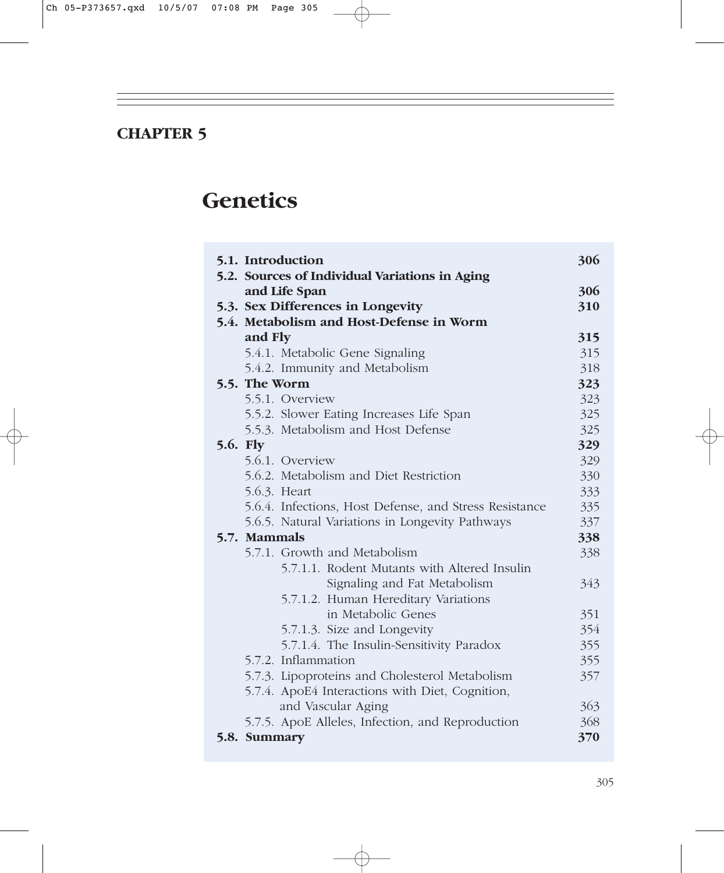# **CHAPTER 5**

# **Genetics**

|                 | 5.1. Introduction                                                              | 306        |  |  |  |  |
|-----------------|--------------------------------------------------------------------------------|------------|--|--|--|--|
|                 | 5.2. Sources of Individual Variations in Aging                                 |            |  |  |  |  |
|                 | and Life Span                                                                  | 306<br>310 |  |  |  |  |
|                 | 5.3. Sex Differences in Longevity                                              |            |  |  |  |  |
|                 | 5.4. Metabolism and Host-Defense in Worm                                       |            |  |  |  |  |
|                 | and Fly                                                                        | 315        |  |  |  |  |
|                 | 5.4.1. Metabolic Gene Signaling                                                | 315        |  |  |  |  |
|                 | 5.4.2. Immunity and Metabolism                                                 | 318<br>323 |  |  |  |  |
|                 | 5.5. The Worm                                                                  |            |  |  |  |  |
|                 | 5.5.1. Overview                                                                | 323        |  |  |  |  |
|                 | 5.5.2. Slower Eating Increases Life Span<br>5.5.3. Metabolism and Host Defense | 325        |  |  |  |  |
|                 |                                                                                | 325        |  |  |  |  |
| <b>5.6. Fly</b> | 5.6.1. Overview                                                                | 329<br>329 |  |  |  |  |
|                 | 5.6.2. Metabolism and Diet Restriction                                         | 330        |  |  |  |  |
|                 | 5.6.3. Heart                                                                   |            |  |  |  |  |
|                 |                                                                                | 333<br>335 |  |  |  |  |
|                 | 5.6.4. Infections, Host Defense, and Stress Resistance                         |            |  |  |  |  |
|                 | 5.6.5. Natural Variations in Longevity Pathways                                | 337<br>338 |  |  |  |  |
|                 | 5.7. Mammals<br>5.7.1. Growth and Metabolism                                   |            |  |  |  |  |
|                 | 5.7.1.1. Rodent Mutants with Altered Insulin                                   | 338        |  |  |  |  |
|                 |                                                                                |            |  |  |  |  |
|                 | Signaling and Fat Metabolism<br>5.7.1.2. Human Hereditary Variations           | 343        |  |  |  |  |
|                 | in Metabolic Genes                                                             | 351        |  |  |  |  |
|                 | 5.7.1.3. Size and Longevity                                                    | 354        |  |  |  |  |
|                 | 5.7.1.4. The Insulin-Sensitivity Paradox                                       | 355        |  |  |  |  |
|                 | 5.7.2. Inflammation                                                            | 355        |  |  |  |  |
|                 | 5.7.3. Lipoproteins and Cholesterol Metabolism                                 | 357        |  |  |  |  |
|                 | 5.7.4. ApoE4 Interactions with Diet, Cognition,                                |            |  |  |  |  |
|                 | and Vascular Aging                                                             | 363        |  |  |  |  |
|                 | 5.7.5. ApoE Alleles, Infection, and Reproduction                               | 368        |  |  |  |  |
|                 | 5.8. Summary                                                                   | 370        |  |  |  |  |
|                 |                                                                                |            |  |  |  |  |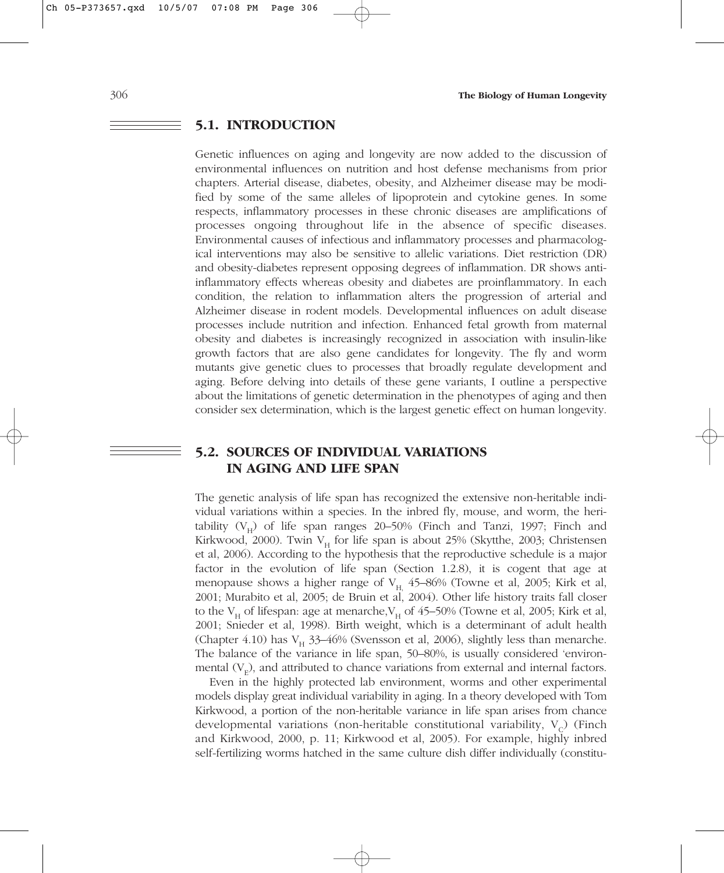# **5.1. INTRODUCTION**

Genetic influences on aging and longevity are now added to the discussion of environmental influences on nutrition and host defense mechanisms from prior chapters. Arterial disease, diabetes, obesity, and Alzheimer disease may be modified by some of the same alleles of lipoprotein and cytokine genes. In some respects, inflammatory processes in these chronic diseases are amplifications of processes ongoing throughout life in the absence of specific diseases. Environmental causes of infectious and inflammatory processes and pharmacological interventions may also be sensitive to allelic variations. Diet restriction (DR) and obesity-diabetes represent opposing degrees of inflammation. DR shows antiinflammatory effects whereas obesity and diabetes are proinflammatory. In each condition, the relation to inflammation alters the progression of arterial and Alzheimer disease in rodent models. Developmental influences on adult disease processes include nutrition and infection. Enhanced fetal growth from maternal obesity and diabetes is increasingly recognized in association with insulin-like growth factors that are also gene candidates for longevity. The fly and worm mutants give genetic clues to processes that broadly regulate development and aging. Before delving into details of these gene variants, I outline a perspective about the limitations of genetic determination in the phenotypes of aging and then consider sex determination, which is the largest genetic effect on human longevity.

# **5.2. SOURCES OF INDIVIDUAL VARIATIONS IN AGING AND LIFE SPAN**

The genetic analysis of life span has recognized the extensive non-heritable individual variations within a species. In the inbred fly, mouse, and worm, the heritability  $(V<sub>u</sub>)$  of life span ranges 20–50% (Finch and Tanzi, 1997; Finch and Kirkwood, 2000). Twin  $V_{\text{H}}$  for life span is about 25% (Skytthe, 2003; Christensen et al, 2006). According to the hypothesis that the reproductive schedule is a major factor in the evolution of life span (Section 1.2.8), it is cogent that age at menopause shows a higher range of  $V_H$ , 45–86% (Towne et al, 2005; Kirk et al, 2001; Murabito et al, 2005; de Bruin et al, 2004). Other life history traits fall closer to the  $V_H$  of lifespan: age at menarche, $V_H$  of 45–50% (Towne et al, 2005; Kirk et al, 2001; Snieder et al, 1998). Birth weight, which is a determinant of adult health (Chapter 4.10) has  $V_H$  33–46% (Svensson et al, 2006), slightly less than menarche. The balance of the variance in life span, 50–80%, is usually considered 'environmental  $(V<sub>v</sub>)$ , and attributed to chance variations from external and internal factors.

Even in the highly protected lab environment, worms and other experimental models display great individual variability in aging. In a theory developed with Tom Kirkwood, a portion of the non-heritable variance in life span arises from chance developmental variations (non-heritable constitutional variability,  $V_c$ ) (Finch and Kirkwood, 2000, p. 11; Kirkwood et al, 2005). For example, highly inbred self-fertilizing worms hatched in the same culture dish differ individually (constitu-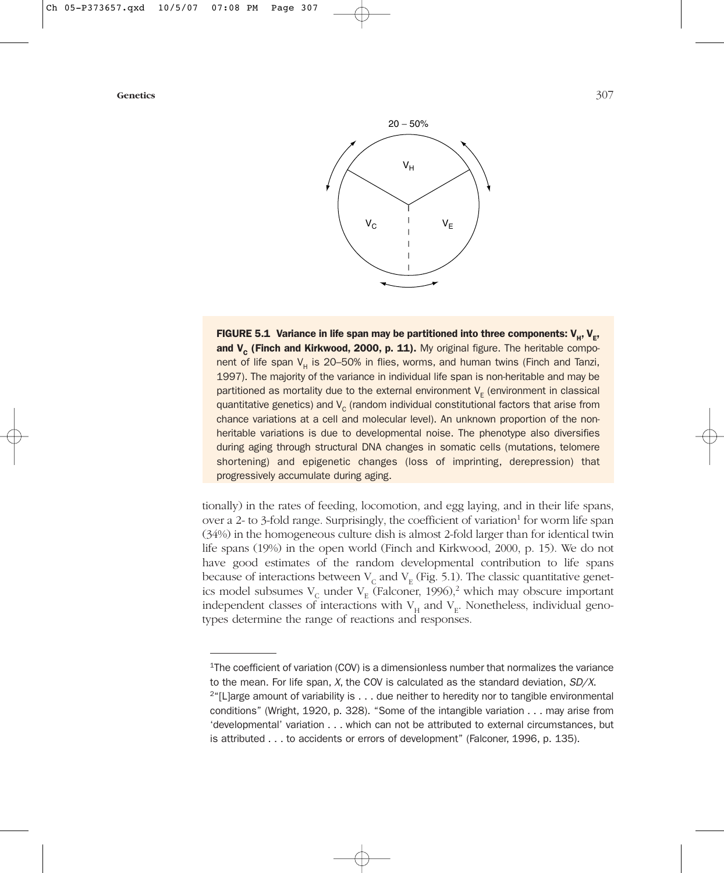

FIGURE 5.1 Variance in life span may be partitioned into three components:  $V_{u}$ ,  $V_{E}$ , and  $V_c$  (Finch and Kirkwood, 2000, p. 11). My original figure. The heritable component of life span  $V_{\mu}$  is 20–50% in flies, worms, and human twins (Finch and Tanzi, 1997). The majority of the variance in individual life span is non-heritable and may be partitioned as mortality due to the external environment  $V<sub>F</sub>$  (environment in classical quantitative genetics) and  $V_c$  (random individual constitutional factors that arise from chance variations at a cell and molecular level). An unknown proportion of the nonheritable variations is due to developmental noise. The phenotype also diversifies during aging through structural DNA changes in somatic cells (mutations, telomere shortening) and epigenetic changes (loss of imprinting, derepression) that progressively accumulate during aging.

tionally) in the rates of feeding, locomotion, and egg laying, and in their life spans, over a 2- to 3-fold range. Surprisingly, the coefficient of variation<sup>1</sup> for worm life span (34%) in the homogeneous culture dish is almost 2-fold larger than for identical twin life spans (19%) in the open world (Finch and Kirkwood, 2000, p. 15). We do not have good estimates of the random developmental contribution to life spans because of interactions between  $V_c$  and  $V_F$  (Fig. 5.1). The classic quantitative genetics model subsumes  $V_c$  under  $V_E$  (Falconer, 1996),<sup>2</sup> which may obscure important independent classes of interactions with  $V_H$  and  $V_F$ . Nonetheless, individual genotypes determine the range of reactions and responses.

<sup>1</sup>The coefficient of variation (COV) is a dimensionless number that normalizes the variance to the mean. For life span, *X*, the COV is calculated as the standard deviation, *SD/X*.

 $2<sup>a</sup>$ [L]arge amount of variability is  $\dots$  due neither to heredity nor to tangible environmental conditions" (Wright, 1920, p. 328). "Some of the intangible variation . . . may arise from 'developmental' variation . . . which can not be attributed to external circumstances, but is attributed . . . to accidents or errors of development" (Falconer, 1996, p. 135).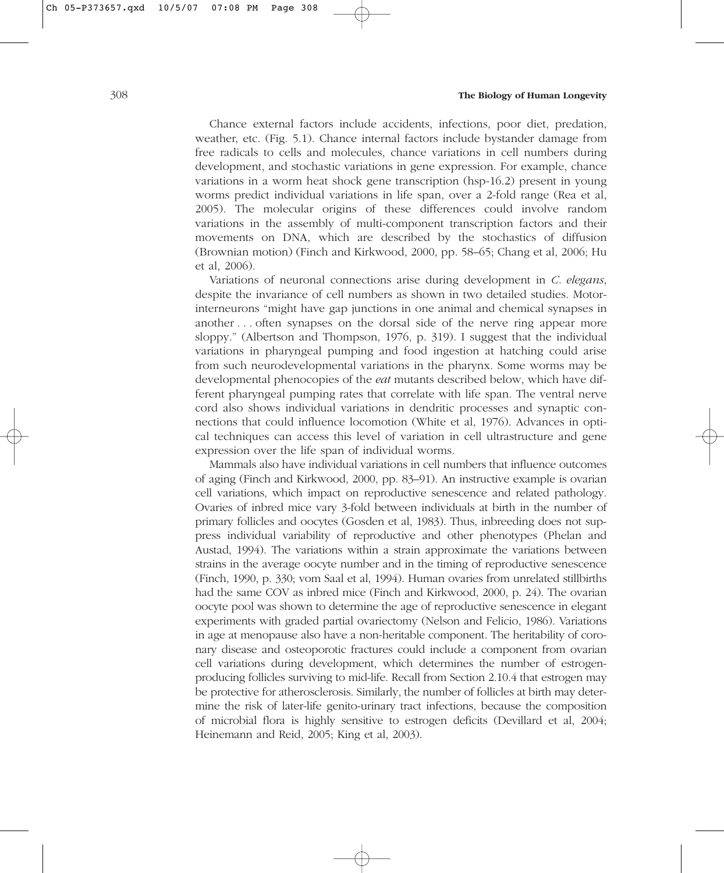Chance external factors include accidents, infections, poor diet, predation, weather, etc. (Fig. 5.1). Chance internal factors include bystander damage from free radicals to cells and molecules, chance variations in cell numbers during development, and stochastic variations in gene expression. For example, chance variations in a worm heat shock gene transcription (hsp-16.2) present in young worms predict individual variations in life span, over a 2-fold range (Rea et al, 2005). The molecular origins of these differences could involve random variations in the assembly of multi-component transcription factors and their movements on DNA, which are described by the stochastics of diffusion (Brownian motion) (Finch and Kirkwood, 2000, pp. 58–65; Chang et al, 2006; Hu et al, 2006).

Variations of neuronal connections arise during development in *C. elegans*, despite the invariance of cell numbers as shown in two detailed studies. Motorinterneurons "might have gap junctions in one animal and chemical synapses in another . . . often synapses on the dorsal side of the nerve ring appear more sloppy." (Albertson and Thompson, 1976, p. 319). I suggest that the individual variations in pharyngeal pumping and food ingestion at hatching could arise from such neurodevelopmental variations in the pharynx. Some worms may be developmental phenocopies of the *eat* mutants described below, which have different pharyngeal pumping rates that correlate with life span. The ventral nerve cord also shows individual variations in dendritic processes and synaptic connections that could influence locomotion (White et al, 1976). Advances in optical techniques can access this level of variation in cell ultrastructure and gene expression over the life span of individual worms.

Mammals also have individual variations in cell numbers that influence outcomes of aging (Finch and Kirkwood, 2000, pp. 83–91). An instructive example is ovarian cell variations, which impact on reproductive senescence and related pathology. Ovaries of inbred mice vary 3-fold between individuals at birth in the number of primary follicles and oocytes (Gosden et al, 1983). Thus, inbreeding does not suppress individual variability of reproductive and other phenotypes (Phelan and Austad, 1994). The variations within a strain approximate the variations between strains in the average oocyte number and in the timing of reproductive senescence (Finch, 1990, p. 330; vom Saal et al, 1994). Human ovaries from unrelated stillbirths had the same COV as inbred mice (Finch and Kirkwood, 2000, p. 24). The ovarian oocyte pool was shown to determine the age of reproductive senescence in elegant experiments with graded partial ovariectomy (Nelson and Felicio, 1986). Variations in age at menopause also have a non-heritable component. The heritability of coronary disease and osteoporotic fractures could include a component from ovarian cell variations during development, which determines the number of estrogenproducing follicles surviving to mid-life. Recall from Section 2.10.4 that estrogen may be protective for atherosclerosis. Similarly, the number of follicles at birth may determine the risk of later-life genito-urinary tract infections, because the composition of microbial flora is highly sensitive to estrogen deficits (Devillard et al, 2004; Heinemann and Reid, 2005; King et al, 2003).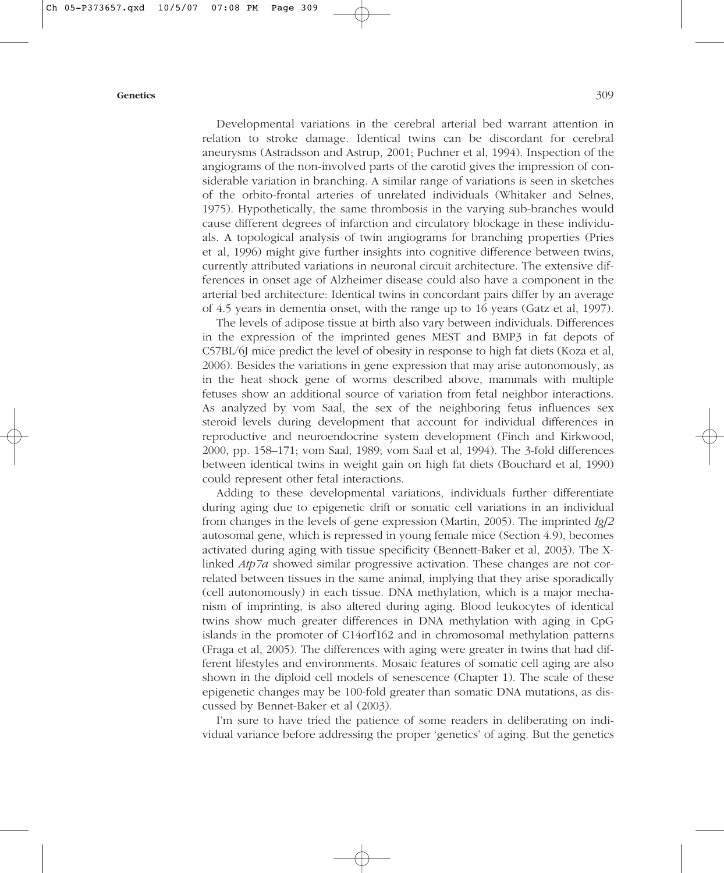Developmental variations in the cerebral arterial bed warrant attention in relation to stroke damage. Identical twins can be discordant for cerebral aneurysms (Astradsson and Astrup, 2001; Puchner et al, 1994). Inspection of the angiograms of the non-involved parts of the carotid gives the impression of considerable variation in branching. A similar range of variations is seen in sketches of the orbito-frontal arteries of unrelated individuals (Whitaker and Selnes, 1975). Hypothetically, the same thrombosis in the varying sub-branches would cause different degrees of infarction and circulatory blockage in these individuals. A topological analysis of twin angiograms for branching properties (Pries et al, 1996) might give further insights into cognitive difference between twins, currently attributed variations in neuronal circuit architecture. The extensive differences in onset age of Alzheimer disease could also have a component in the arterial bed architecture: Identical twins in concordant pairs differ by an average of 4.5 years in dementia onset, with the range up to 16 years (Gatz et al, 1997).

The levels of adipose tissue at birth also vary between individuals. Differences in the expression of the imprinted genes MEST and BMP3 in fat depots of C57BL/6J mice predict the level of obesity in response to high fat diets (Koza et al, 2006). Besides the variations in gene expression that may arise autonomously, as in the heat shock gene of worms described above, mammals with multiple fetuses show an additional source of variation from fetal neighbor interactions. As analyzed by vom Saal, the sex of the neighboring fetus influences sex steroid levels during development that account for individual differences in reproductive and neuroendocrine system development (Finch and Kirkwood, 2000, pp. 158–171; vom Saal, 1989; vom Saal et al, 1994). The 3-fold differences between identical twins in weight gain on high fat diets (Bouchard et al, 1990) could represent other fetal interactions.

Adding to these developmental variations, individuals further differentiate during aging due to epigenetic drift or somatic cell variations in an individual from changes in the levels of gene expression (Martin, 2005). The imprinted *Igf2* autosomal gene, which is repressed in young female mice (Section 4.9), becomes activated during aging with tissue specificity (Bennett-Baker et al, 2003). The Xlinked *Atp7a* showed similar progressive activation. These changes are not correlated between tissues in the same animal, implying that they arise sporadically (cell autonomously) in each tissue. DNA methylation, which is a major mechanism of imprinting, is also altered during aging. Blood leukocytes of identical twins show much greater differences in DNA methylation with aging in CpG islands in the promoter of C14orf162 and in chromosomal methylation patterns (Fraga et al, 2005). The differences with aging were greater in twins that had different lifestyles and environments. Mosaic features of somatic cell aging are also shown in the diploid cell models of senescence (Chapter 1). The scale of these epigenetic changes may be 100-fold greater than somatic DNA mutations, as discussed by Bennet-Baker et al (2003).

I'm sure to have tried the patience of some readers in deliberating on individual variance before addressing the proper 'genetics' of aging. But the genetics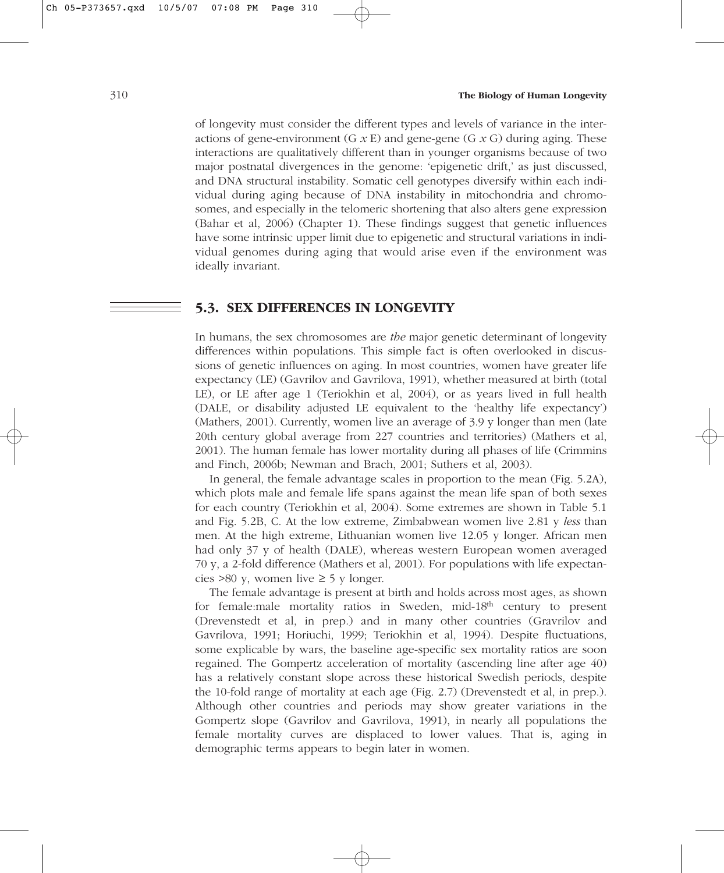of longevity must consider the different types and levels of variance in the interactions of gene-environment (G *x* E) and gene-gene (G *x* G) during aging. These interactions are qualitatively different than in younger organisms because of two major postnatal divergences in the genome: 'epigenetic drift,' as just discussed, and DNA structural instability. Somatic cell genotypes diversify within each individual during aging because of DNA instability in mitochondria and chromosomes, and especially in the telomeric shortening that also alters gene expression (Bahar et al, 2006) (Chapter 1). These findings suggest that genetic influences have some intrinsic upper limit due to epigenetic and structural variations in individual genomes during aging that would arise even if the environment was ideally invariant.

# **5.3. SEX DIFFERENCES IN LONGEVITY**

In humans, the sex chromosomes are *the* major genetic determinant of longevity differences within populations. This simple fact is often overlooked in discussions of genetic influences on aging. In most countries, women have greater life expectancy (LE) (Gavrilov and Gavrilova, 1991), whether measured at birth (total LE), or LE after age 1 (Teriokhin et al, 2004), or as years lived in full health (DALE, or disability adjusted LE equivalent to the 'healthy life expectancy') (Mathers, 2001). Currently, women live an average of 3.9 y longer than men (late 20th century global average from 227 countries and territories) (Mathers et al, 2001). The human female has lower mortality during all phases of life (Crimmins and Finch, 2006b; Newman and Brach, 2001; Suthers et al, 2003).

In general, the female advantage scales in proportion to the mean (Fig. 5.2A), which plots male and female life spans against the mean life span of both sexes for each country (Teriokhin et al, 2004). Some extremes are shown in Table 5.1 and Fig. 5.2B, C. At the low extreme, Zimbabwean women live 2.81 y *less* than men. At the high extreme, Lithuanian women live 12.05 y longer. African men had only 37 y of health (DALE), whereas western European women averaged 70 y, a 2-fold difference (Mathers et al, 2001). For populations with life expectancies >80 y, women live  $\geq 5$  y longer.

The female advantage is present at birth and holds across most ages, as shown for female:male mortality ratios in Sweden, mid- $18<sup>th</sup>$  century to present (Drevenstedt et al, in prep.) and in many other countries (Gravrilov and Gavrilova, 1991; Horiuchi, 1999; Teriokhin et al, 1994). Despite fluctuations, some explicable by wars, the baseline age-specific sex mortality ratios are soon regained. The Gompertz acceleration of mortality (ascending line after age 40) has a relatively constant slope across these historical Swedish periods, despite the 10-fold range of mortality at each age (Fig. 2.7) (Drevenstedt et al, in prep.). Although other countries and periods may show greater variations in the Gompertz slope (Gavrilov and Gavrilova, 1991), in nearly all populations the female mortality curves are displaced to lower values. That is, aging in demographic terms appears to begin later in women.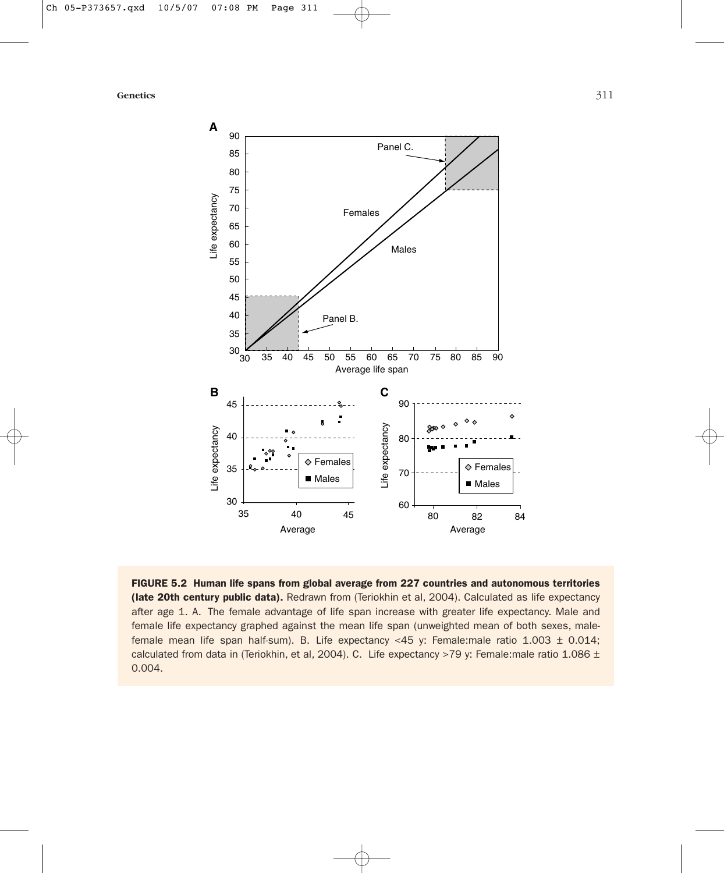

FIGURE 5.2 Human life spans from global average from 227 countries and autonomous territories (late 20th century public data). Redrawn from (Teriokhin et al, 2004). Calculated as life expectancy after age 1. A. The female advantage of life span increase with greater life expectancy. Male and female life expectancy graphed against the mean life span (unweighted mean of both sexes, malefemale mean life span half-sum). B. Life expectancy <45 y: Female:male ratio  $1.003 \pm 0.014$ ; calculated from data in (Teriokhin, et al, 2004). C. Life expectancy >79 y: Female:male ratio 1.086  $\pm$ 0.004.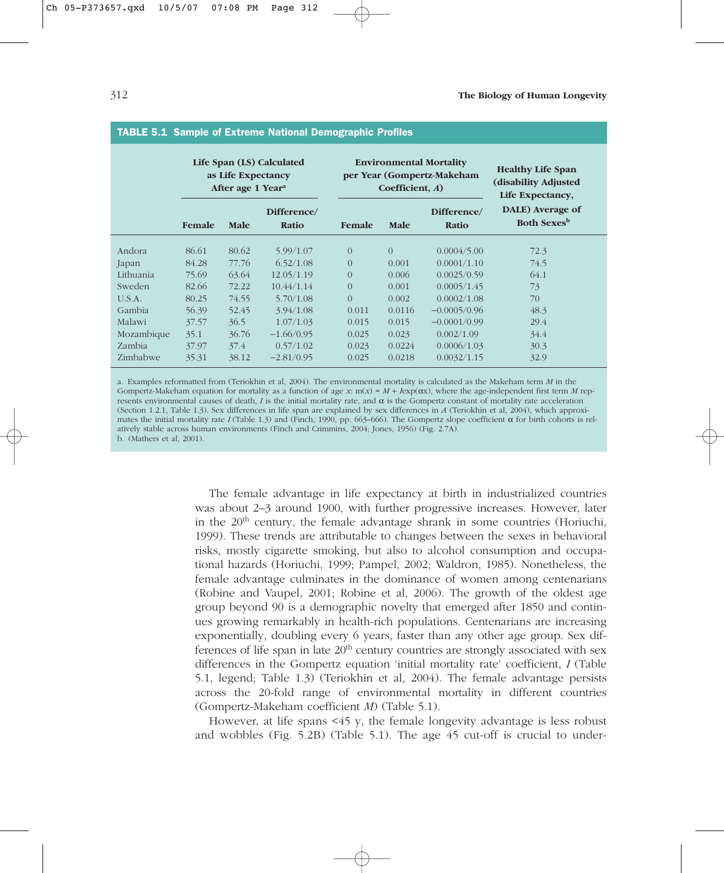|            | Life Span (LS) Calculated<br>as Life Expectancy<br>After age 1 Year <sup>a</sup> |       | <b>Environmental Mortality</b><br>per Year (Gompertz-Makeham<br>Coefficient, $A$ ) |                |          | <b>Healthy Life Span</b><br>(disability Adjusted<br>Life Expectancy, |                                                    |
|------------|----------------------------------------------------------------------------------|-------|------------------------------------------------------------------------------------|----------------|----------|----------------------------------------------------------------------|----------------------------------------------------|
|            | Female                                                                           | Male  | Difference/<br>Ratio                                                               | Female         | Male     | Difference/<br>Ratio                                                 | DALE) Average of<br><b>Both Sexes</b> <sup>b</sup> |
| Andora     | 86.61                                                                            | 80.62 | 5.99/1.07                                                                          | $\theta$       | $\Omega$ | 0.0004/5.00                                                          | 72.3                                               |
| Japan      | 84.28                                                                            | 77.76 | 6.52/1.08                                                                          | $\Omega$       | 0.001    | 0.0001/1.10                                                          | 74.5                                               |
| Lithuania  | 75.69                                                                            | 63.64 | 12.05/1.19                                                                         | $\theta$       | 0.006    | 0.0025/0.59                                                          | 64.1                                               |
| Sweden     | 82.66                                                                            | 72.22 | 10.44/1.14                                                                         | $\overline{0}$ | 0.001    | 0.0005/1.45                                                          | 73                                                 |
| U.S.A.     | 80.25                                                                            | 74.55 | 5.70/1.08                                                                          | $\Omega$       | 0.002    | 0.0002/1.08                                                          | 70                                                 |
| Gambia     | 56.39                                                                            | 52.45 | 3.94/1.08                                                                          | 0.011          | 0.0116   | $-0.0005/0.96$                                                       | 48.3                                               |
| Malawi     | 37.57                                                                            | 36.5  | 1.07/1.03                                                                          | 0.015          | 0.015    | $-0.0001/0.99$                                                       | 29.4                                               |
| Mozambique | 35.1                                                                             | 36.76 | $-1.66/0.95$                                                                       | 0.025          | 0.023    | 0.002/1.09                                                           | 34.4                                               |
| Zambia     | 37.97                                                                            | 37.4  | 0.57/1.02                                                                          | 0.023          | 0.0224   | 0.0006/1.03                                                          | 30.3                                               |
| Zimbabwe   | 35.31                                                                            | 38.12 | $-2.81/0.95$                                                                       | 0.025          | 0.0218   | 0.0032/1.15                                                          | 32.9                                               |

#### TABLE 5.1 Sample of Extreme National Demographic Profiles

a. Examples reformatted from (Teriokhin et al, 2004). The environmental mortality is calculated as the Makeham term *M* in the Gompertz-Makeham equation for mortality as a function of age *x*:  $m(x) = M + I \exp(\alpha x)$ , where the age-independent first term *M* represents environmental causes of death, *I* is the initial mortality rate, and α is the Gompertz constant of mortality rate acceleration (Section 1.2.1, Table 1.3). Sex differences in life span are explained by sex differences in *A* (Teriokhin et al, 2004), which approximates the initial mortality rate *I* (Table 1.3) and (Finch, 1990, pp. 663–666). The Gompertz slope coefficient α for birth cohorts is relatively stable across human environments (Finch and Crimmins, 2004; Jones, 1956) (Fig. 2.7A). b. (Mathers et al, 2001).

> The female advantage in life expectancy at birth in industrialized countries was about 2–3 around 1900, with further progressive increases. However, later in the 20<sup>th</sup> century, the female advantage shrank in some countries (Horiuchi, 1999). These trends are attributable to changes between the sexes in behavioral risks, mostly cigarette smoking, but also to alcohol consumption and occupational hazards (Horiuchi, 1999; Pampel, 2002; Waldron, 1985). Nonetheless, the female advantage culminates in the dominance of women among centenarians (Robine and Vaupel, 2001; Robine et al, 2006). The growth of the oldest age group beyond 90 is a demographic novelty that emerged after 1850 and continues growing remarkably in health-rich populations. Centenarians are increasing exponentially, doubling every 6 years, faster than any other age group. Sex differences of life span in late  $20<sup>th</sup>$  century countries are strongly associated with sex differences in the Gompertz equation 'initial mortality rate' coefficient, *I* (Table 5.1, legend; Table 1.3) (Teriokhin et al, 2004). The female advantage persists across the 20-fold range of environmental mortality in different countries (Gompertz-Makeham coefficient *M*) (Table 5.1).

> However, at life spans <45 y, the female longevity advantage is less robust and wobbles (Fig. 5.2B) (Table 5.1). The age 45 cut-off is crucial to under-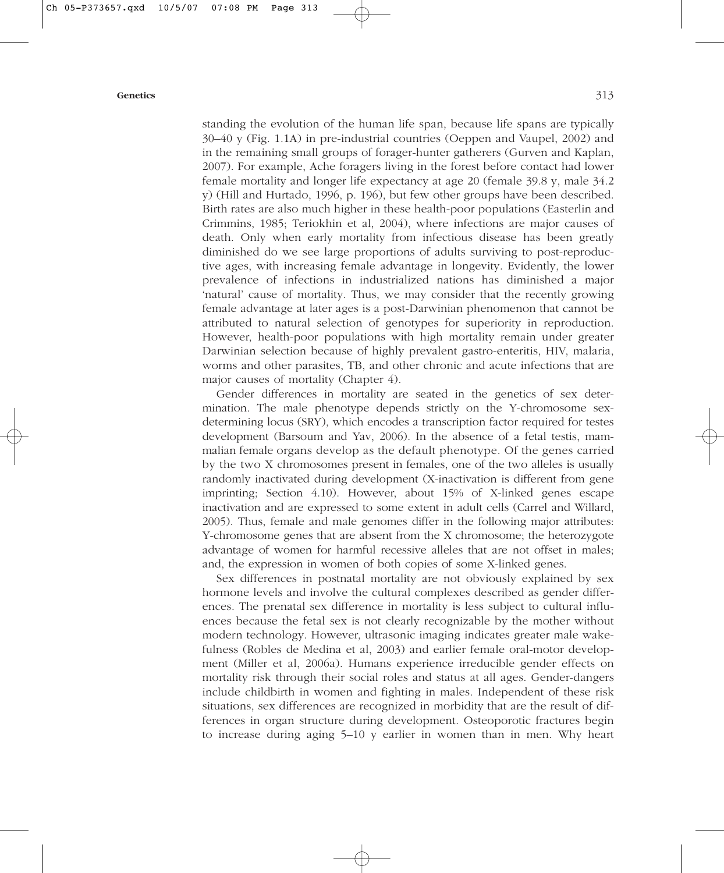standing the evolution of the human life span, because life spans are typically 30–40 y (Fig. 1.1A) in pre-industrial countries (Oeppen and Vaupel, 2002) and in the remaining small groups of forager-hunter gatherers (Gurven and Kaplan, 2007). For example, Ache foragers living in the forest before contact had lower female mortality and longer life expectancy at age 20 (female 39.8 y, male 34.2 y) (Hill and Hurtado, 1996, p. 196), but few other groups have been described. Birth rates are also much higher in these health-poor populations (Easterlin and Crimmins, 1985; Teriokhin et al, 2004), where infections are major causes of death. Only when early mortality from infectious disease has been greatly diminished do we see large proportions of adults surviving to post-reproductive ages, with increasing female advantage in longevity. Evidently, the lower prevalence of infections in industrialized nations has diminished a major 'natural' cause of mortality. Thus, we may consider that the recently growing female advantage at later ages is a post-Darwinian phenomenon that cannot be attributed to natural selection of genotypes for superiority in reproduction. However, health-poor populations with high mortality remain under greater Darwinian selection because of highly prevalent gastro-enteritis, HIV, malaria, worms and other parasites, TB, and other chronic and acute infections that are major causes of mortality (Chapter 4).

Gender differences in mortality are seated in the genetics of sex determination. The male phenotype depends strictly on the Y-chromosome sexdetermining locus (SRY), which encodes a transcription factor required for testes development (Barsoum and Yav, 2006). In the absence of a fetal testis, mammalian female organs develop as the default phenotype. Of the genes carried by the two X chromosomes present in females, one of the two alleles is usually randomly inactivated during development (X-inactivation is different from gene imprinting; Section 4.10). However, about 15% of X-linked genes escape inactivation and are expressed to some extent in adult cells (Carrel and Willard, 2005). Thus, female and male genomes differ in the following major attributes: Y-chromosome genes that are absent from the X chromosome; the heterozygote advantage of women for harmful recessive alleles that are not offset in males; and, the expression in women of both copies of some X-linked genes.

Sex differences in postnatal mortality are not obviously explained by sex hormone levels and involve the cultural complexes described as gender differences. The prenatal sex difference in mortality is less subject to cultural influences because the fetal sex is not clearly recognizable by the mother without modern technology. However, ultrasonic imaging indicates greater male wakefulness (Robles de Medina et al, 2003) and earlier female oral-motor development (Miller et al, 2006a). Humans experience irreducible gender effects on mortality risk through their social roles and status at all ages. Gender-dangers include childbirth in women and fighting in males. Independent of these risk situations, sex differences are recognized in morbidity that are the result of differences in organ structure during development. Osteoporotic fractures begin to increase during aging 5–10 y earlier in women than in men. Why heart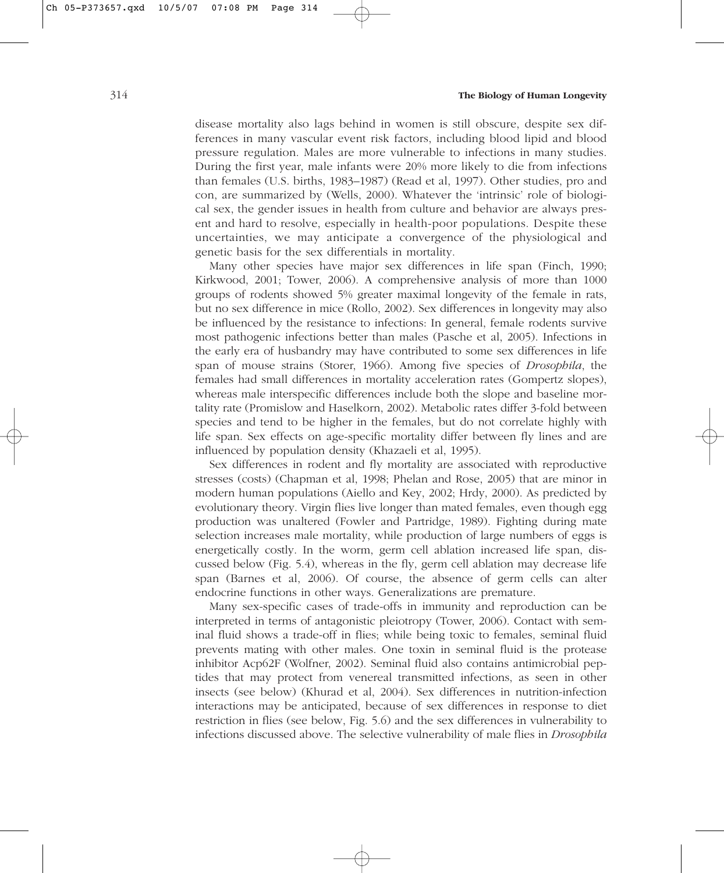disease mortality also lags behind in women is still obscure, despite sex differences in many vascular event risk factors, including blood lipid and blood pressure regulation. Males are more vulnerable to infections in many studies. During the first year, male infants were 20% more likely to die from infections than females (U.S. births, 1983–1987) (Read et al, 1997). Other studies, pro and con, are summarized by (Wells, 2000). Whatever the 'intrinsic' role of biological sex, the gender issues in health from culture and behavior are always present and hard to resolve, especially in health-poor populations. Despite these uncertainties, we may anticipate a convergence of the physiological and genetic basis for the sex differentials in mortality.

Many other species have major sex differences in life span (Finch, 1990; Kirkwood, 2001; Tower, 2006). A comprehensive analysis of more than 1000 groups of rodents showed 5% greater maximal longevity of the female in rats, but no sex difference in mice (Rollo, 2002). Sex differences in longevity may also be influenced by the resistance to infections: In general, female rodents survive most pathogenic infections better than males (Pasche et al, 2005). Infections in the early era of husbandry may have contributed to some sex differences in life span of mouse strains (Storer, 1966). Among five species of *Drosophila*, the females had small differences in mortality acceleration rates (Gompertz slopes), whereas male interspecific differences include both the slope and baseline mortality rate (Promislow and Haselkorn, 2002). Metabolic rates differ 3-fold between species and tend to be higher in the females, but do not correlate highly with life span. Sex effects on age-specific mortality differ between fly lines and are influenced by population density (Khazaeli et al, 1995).

Sex differences in rodent and fly mortality are associated with reproductive stresses (costs) (Chapman et al, 1998; Phelan and Rose, 2005) that are minor in modern human populations (Aiello and Key, 2002; Hrdy, 2000). As predicted by evolutionary theory. Virgin flies live longer than mated females, even though egg production was unaltered (Fowler and Partridge, 1989). Fighting during mate selection increases male mortality, while production of large numbers of eggs is energetically costly. In the worm, germ cell ablation increased life span, discussed below (Fig. 5.4), whereas in the fly, germ cell ablation may decrease life span (Barnes et al, 2006). Of course, the absence of germ cells can alter endocrine functions in other ways. Generalizations are premature.

Many sex-specific cases of trade-offs in immunity and reproduction can be interpreted in terms of antagonistic pleiotropy (Tower, 2006). Contact with seminal fluid shows a trade-off in flies; while being toxic to females, seminal fluid prevents mating with other males. One toxin in seminal fluid is the protease inhibitor Acp62F (Wolfner, 2002). Seminal fluid also contains antimicrobial peptides that may protect from venereal transmitted infections, as seen in other insects (see below) (Khurad et al, 2004). Sex differences in nutrition-infection interactions may be anticipated, because of sex differences in response to diet restriction in flies (see below, Fig. 5.6) and the sex differences in vulnerability to infections discussed above. The selective vulnerability of male flies in *Drosophila*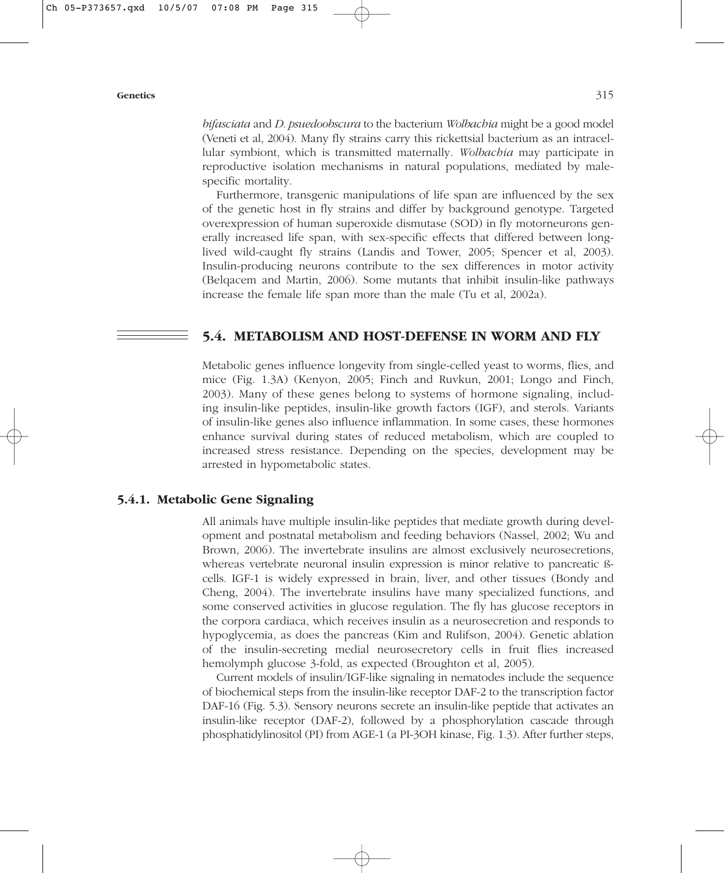*bifasciata* and *D. psuedoobscura* to the bacterium *Wolbachia* might be a good model (Veneti et al, 2004). Many fly strains carry this rickettsial bacterium as an intracellular symbiont, which is transmitted maternally. *Wolbachia* may participate in reproductive isolation mechanisms in natural populations, mediated by malespecific mortality.

Furthermore, transgenic manipulations of life span are influenced by the sex of the genetic host in fly strains and differ by background genotype. Targeted overexpression of human superoxide dismutase (SOD) in fly motorneurons generally increased life span, with sex-specific effects that differed between longlived wild-caught fly strains (Landis and Tower, 2005; Spencer et al, 2003). Insulin-producing neurons contribute to the sex differences in motor activity (Belqacem and Martin, 2006). Some mutants that inhibit insulin-like pathways increase the female life span more than the male (Tu et al, 2002a).

#### **5.4. METABOLISM AND HOST-DEFENSE IN WORM AND FLY**

Metabolic genes influence longevity from single-celled yeast to worms, flies, and mice (Fig. 1.3A) (Kenyon, 2005; Finch and Ruvkun, 2001; Longo and Finch, 2003). Many of these genes belong to systems of hormone signaling, including insulin-like peptides, insulin-like growth factors (IGF), and sterols. Variants of insulin-like genes also influence inflammation. In some cases, these hormones enhance survival during states of reduced metabolism, which are coupled to increased stress resistance. Depending on the species, development may be arrested in hypometabolic states.

# **5.4.1. Metabolic Gene Signaling**

All animals have multiple insulin-like peptides that mediate growth during development and postnatal metabolism and feeding behaviors (Nassel, 2002; Wu and Brown, 2006). The invertebrate insulins are almost exclusively neurosecretions, whereas vertebrate neuronal insulin expression is minor relative to pancreatic ßcells. IGF-1 is widely expressed in brain, liver, and other tissues (Bondy and Cheng, 2004). The invertebrate insulins have many specialized functions, and some conserved activities in glucose regulation. The fly has glucose receptors in the corpora cardiaca, which receives insulin as a neurosecretion and responds to hypoglycemia, as does the pancreas (Kim and Rulifson, 2004). Genetic ablation of the insulin-secreting medial neurosecretory cells in fruit flies increased hemolymph glucose 3-fold, as expected (Broughton et al, 2005).

Current models of insulin/IGF-like signaling in nematodes include the sequence of biochemical steps from the insulin-like receptor DAF-2 to the transcription factor DAF-16 (Fig. 5.3). Sensory neurons secrete an insulin-like peptide that activates an insulin-like receptor (DAF-2), followed by a phosphorylation cascade through phosphatidylinositol (PI) from AGE-1 (a PI-3OH kinase, Fig. 1.3). After further steps,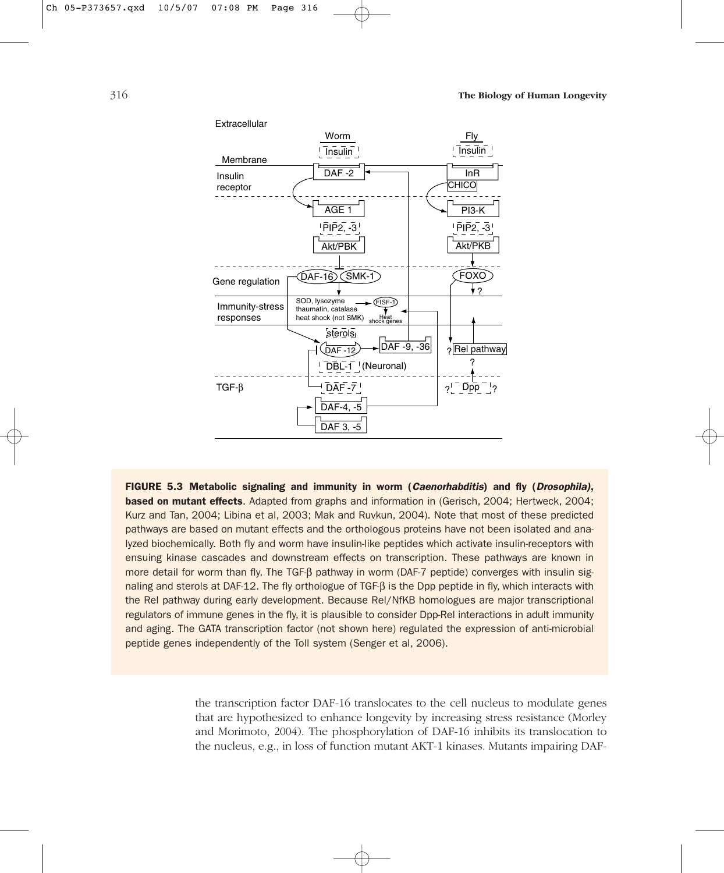

FIGURE 5.3 Metabolic signaling and immunity in worm (*Caenorhabditis*) and fly (*Drosophila)*, based on mutant effects. Adapted from graphs and information in (Gerisch, 2004; Hertweck, 2004; Kurz and Tan, 2004; Libina et al, 2003; Mak and Ruvkun, 2004). Note that most of these predicted pathways are based on mutant effects and the orthologous proteins have not been isolated and analyzed biochemically. Both fly and worm have insulin-like peptides which activate insulin-receptors with ensuing kinase cascades and downstream effects on transcription. These pathways are known in more detail for worm than fly. The TGF-β pathway in worm (DAF-7 peptide) converges with insulin signaling and sterols at DAF-12. The fly orthologue of TGF-β is the Dpp peptide in fly, which interacts with the Rel pathway during early development. Because Rel/NfKB homologues are major transcriptional regulators of immune genes in the fly, it is plausible to consider Dpp-Rel interactions in adult immunity and aging. The GATA transcription factor (not shown here) regulated the expression of anti-microbial peptide genes independently of the Toll system (Senger et al, 2006).

> the transcription factor DAF-16 translocates to the cell nucleus to modulate genes that are hypothesized to enhance longevity by increasing stress resistance (Morley and Morimoto, 2004). The phosphorylation of DAF-16 inhibits its translocation to the nucleus, e.g., in loss of function mutant AKT-1 kinases. Mutants impairing DAF-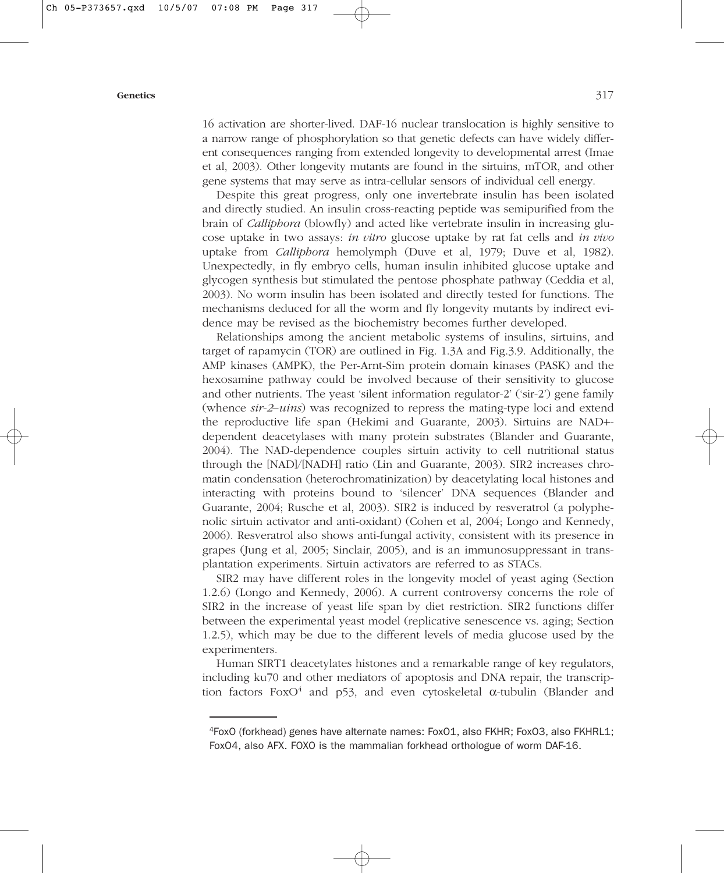16 activation are shorter-lived. DAF-16 nuclear translocation is highly sensitive to a narrow range of phosphorylation so that genetic defects can have widely different consequences ranging from extended longevity to developmental arrest (Imae et al, 2003). Other longevity mutants are found in the sirtuins, mTOR, and other gene systems that may serve as intra-cellular sensors of individual cell energy.

Despite this great progress, only one invertebrate insulin has been isolated and directly studied. An insulin cross-reacting peptide was semipurified from the brain of *Calliphora* (blowfly) and acted like vertebrate insulin in increasing glucose uptake in two assays: *in vitro* glucose uptake by rat fat cells and *in vivo* uptake from *Calliphora* hemolymph (Duve et al, 1979; Duve et al, 1982). Unexpectedly, in fly embryo cells, human insulin inhibited glucose uptake and glycogen synthesis but stimulated the pentose phosphate pathway (Ceddia et al, 2003). No worm insulin has been isolated and directly tested for functions. The mechanisms deduced for all the worm and fly longevity mutants by indirect evidence may be revised as the biochemistry becomes further developed.

Relationships among the ancient metabolic systems of insulins, sirtuins, and target of rapamycin (TOR) are outlined in Fig. 1.3A and Fig.3.9. Additionally, the AMP kinases (AMPK), the Per-Arnt-Sim protein domain kinases (PASK) and the hexosamine pathway could be involved because of their sensitivity to glucose and other nutrients. The yeast 'silent information regulator-2' ('sir-2') gene family (whence *sir-2–uins*) was recognized to repress the mating-type loci and extend the reproductive life span (Hekimi and Guarante, 2003). Sirtuins are NAD+ dependent deacetylases with many protein substrates (Blander and Guarante, 2004). The NAD-dependence couples sirtuin activity to cell nutritional status through the [NAD]/[NADH] ratio (Lin and Guarante, 2003). SIR2 increases chromatin condensation (heterochromatinization) by deacetylating local histones and interacting with proteins bound to 'silencer' DNA sequences (Blander and Guarante, 2004; Rusche et al, 2003). SIR2 is induced by resveratrol (a polyphenolic sirtuin activator and anti-oxidant) (Cohen et al, 2004; Longo and Kennedy, 2006). Resveratrol also shows anti-fungal activity, consistent with its presence in grapes (Jung et al, 2005; Sinclair, 2005), and is an immunosuppressant in transplantation experiments. Sirtuin activators are referred to as STACs.

SIR2 may have different roles in the longevity model of yeast aging (Section 1.2.6) (Longo and Kennedy, 2006). A current controversy concerns the role of SIR2 in the increase of yeast life span by diet restriction. SIR2 functions differ between the experimental yeast model (replicative senescence vs. aging; Section 1.2.5), which may be due to the different levels of media glucose used by the experimenters.

Human SIRT1 deacetylates histones and a remarkable range of key regulators, including ku70 and other mediators of apoptosis and DNA repair, the transcription factors FoxO<sup>4</sup> and p53, and even cytoskeletal  $\alpha$ -tubulin (Blander and

<sup>4</sup>FoxO (forkhead) genes have alternate names: FoxO1, also FKHR; FoxO3, also FKHRL1; FoxO4, also AFX. FOXO is the mammalian forkhead orthologue of worm DAF-16.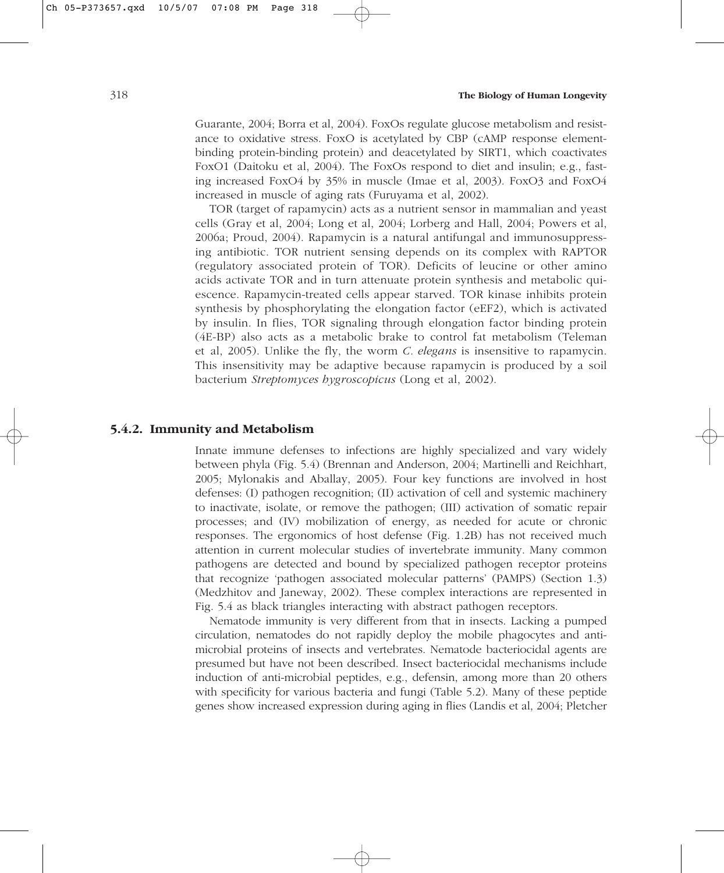Guarante, 2004; Borra et al, 2004). FoxOs regulate glucose metabolism and resistance to oxidative stress. FoxO is acetylated by CBP (cAMP response elementbinding protein-binding protein) and deacetylated by SIRT1, which coactivates FoxO1 (Daitoku et al, 2004). The FoxOs respond to diet and insulin; e.g., fasting increased FoxO4 by 35% in muscle (Imae et al, 2003). FoxO3 and FoxO4 increased in muscle of aging rats (Furuyama et al, 2002).

TOR (target of rapamycin) acts as a nutrient sensor in mammalian and yeast cells (Gray et al, 2004; Long et al, 2004; Lorberg and Hall, 2004; Powers et al, 2006a; Proud, 2004). Rapamycin is a natural antifungal and immunosuppressing antibiotic. TOR nutrient sensing depends on its complex with RAPTOR (regulatory associated protein of TOR). Deficits of leucine or other amino acids activate TOR and in turn attenuate protein synthesis and metabolic quiescence. Rapamycin-treated cells appear starved. TOR kinase inhibits protein synthesis by phosphorylating the elongation factor (eEF2), which is activated by insulin. In flies, TOR signaling through elongation factor binding protein (4E-BP) also acts as a metabolic brake to control fat metabolism (Teleman et al, 2005). Unlike the fly, the worm *C. elegans* is insensitive to rapamycin. This insensitivity may be adaptive because rapamycin is produced by a soil bacterium *Streptomyces hygroscopicus* (Long et al, 2002).

#### **5.4.2. Immunity and Metabolism**

Innate immune defenses to infections are highly specialized and vary widely between phyla (Fig. 5.4) (Brennan and Anderson, 2004; Martinelli and Reichhart, 2005; Mylonakis and Aballay, 2005). Four key functions are involved in host defenses: (I) pathogen recognition; (II) activation of cell and systemic machinery to inactivate, isolate, or remove the pathogen; (III) activation of somatic repair processes; and (IV) mobilization of energy, as needed for acute or chronic responses. The ergonomics of host defense (Fig. 1.2B) has not received much attention in current molecular studies of invertebrate immunity. Many common pathogens are detected and bound by specialized pathogen receptor proteins that recognize 'pathogen associated molecular patterns' (PAMPS) (Section 1.3) (Medzhitov and Janeway, 2002). These complex interactions are represented in Fig. 5.4 as black triangles interacting with abstract pathogen receptors.

Nematode immunity is very different from that in insects. Lacking a pumped circulation, nematodes do not rapidly deploy the mobile phagocytes and antimicrobial proteins of insects and vertebrates. Nematode bacteriocidal agents are presumed but have not been described. Insect bacteriocidal mechanisms include induction of anti-microbial peptides, e.g., defensin, among more than 20 others with specificity for various bacteria and fungi (Table 5.2). Many of these peptide genes show increased expression during aging in flies (Landis et al, 2004; Pletcher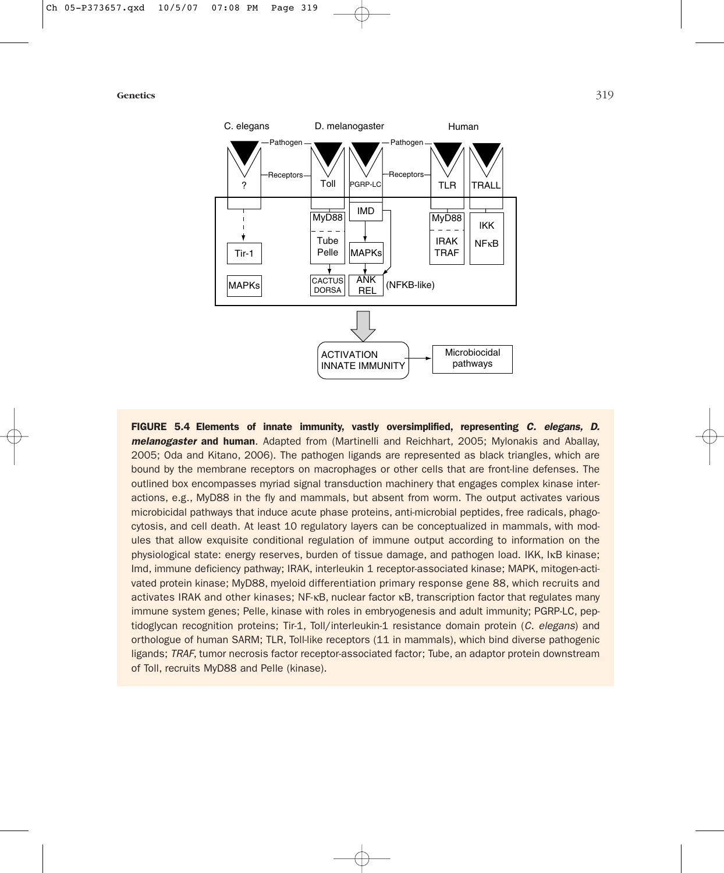

FIGURE 5.4 Elements of innate immunity, vastly oversimplified, representing *C. elegans, D. melanogaster* and human. Adapted from (Martinelli and Reichhart, 2005; Mylonakis and Aballay, 2005; Oda and Kitano, 2006). The pathogen ligands are represented as black triangles, which are bound by the membrane receptors on macrophages or other cells that are front-line defenses. The outlined box encompasses myriad signal transduction machinery that engages complex kinase interactions, e.g., MyD88 in the fly and mammals, but absent from worm. The output activates various microbicidal pathways that induce acute phase proteins, anti-microbial peptides, free radicals, phagocytosis, and cell death. At least 10 regulatory layers can be conceptualized in mammals, with modules that allow exquisite conditional regulation of immune output according to information on the physiological state: energy reserves, burden of tissue damage, and pathogen load. IKK, IκB kinase; Imd, immune deficiency pathway; IRAK, interleukin 1 receptor-associated kinase; MAPK, mitogen-activated protein kinase; MyD88, myeloid differentiation primary response gene 88, which recruits and activates IRAK and other kinases; NF-κB, nuclear factor κB, transcription factor that regulates many immune system genes; Pelle, kinase with roles in embryogenesis and adult immunity; PGRP-LC, peptidoglycan recognition proteins; Tir-1, Toll/interleukin-1 resistance domain protein (*C. elegans*) and orthologue of human SARM; TLR, Toll-like receptors (11 in mammals), which bind diverse pathogenic ligands; *TRAF*, tumor necrosis factor receptor-associated factor; Tube, an adaptor protein downstream of Toll, recruits MyD88 and Pelle (kinase).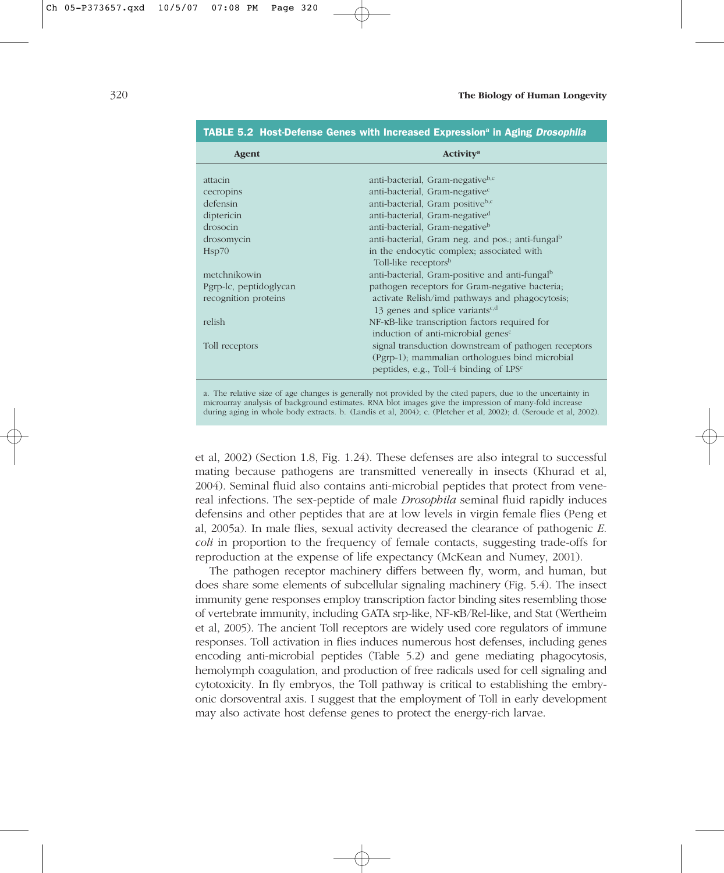| Agent                  | <b>Activity<sup>a</sup></b>                                  |
|------------------------|--------------------------------------------------------------|
|                        |                                                              |
| attacin                | anti-bacterial, Gram-negative <sup>b,c</sup>                 |
| cecropins              | anti-bacterial, Gram-negative <sup>c</sup>                   |
| defensin               | anti-bacterial, Gram positive <sup>b,c</sup>                 |
| diptericin             | anti-bacterial, Gram-negative <sup>d</sup>                   |
| drosocin               | anti-bacterial, Gram-negative <sup>b</sup>                   |
| drosomycin             | anti-bacterial, Gram neg. and pos.; anti-fungal <sup>b</sup> |
| Hsp70                  | in the endocytic complex; associated with                    |
|                        | Toll-like receptors <sup>b</sup>                             |
| metchnikowin           | anti-bacterial, Gram-positive and anti-fungal <sup>b</sup>   |
| Pgrp-lc, peptidoglycan | pathogen receptors for Gram-negative bacteria;               |
| recognition proteins   | activate Relish/imd pathways and phagocytosis;               |
|                        | 13 genes and splice variants <sup>c,d</sup>                  |
| relish                 | NF-KB-like transcription factors required for                |
|                        | induction of anti-microbial genes <sup>c</sup>               |
| Toll receptors         | signal transduction downstream of pathogen receptors         |
|                        | (Pgrp-1); mammalian orthologues bind microbial               |
|                        | peptides, e.g., Toll-4 binding of $LPSc$                     |
|                        |                                                              |

TABLE 5.2 Host-Defense Genes with Increased Expression<sup>a</sup> in Aging *Drosophila* 

a. The relative size of age changes is generally not provided by the cited papers, due to the uncertainty in microarray analysis of background estimates. RNA blot images give the impression of many-fold increase during aging in whole body extracts. b. (Landis et al, 2004); c. (Pletcher et al, 2002); d. (Seroude et al, 2002).

et al, 2002) (Section 1.8, Fig. 1.24). These defenses are also integral to successful mating because pathogens are transmitted venereally in insects (Khurad et al, 2004). Seminal fluid also contains anti-microbial peptides that protect from venereal infections. The sex-peptide of male *Drosophila* seminal fluid rapidly induces defensins and other peptides that are at low levels in virgin female flies (Peng et al, 2005a). In male flies, sexual activity decreased the clearance of pathogenic *E. coli* in proportion to the frequency of female contacts, suggesting trade-offs for reproduction at the expense of life expectancy (McKean and Numey, 2001).

The pathogen receptor machinery differs between fly, worm, and human, but does share some elements of subcellular signaling machinery (Fig. 5.4). The insect immunity gene responses employ transcription factor binding sites resembling those of vertebrate immunity, including GATA srp-like, NF-κB/Rel-like, and Stat (Wertheim et al, 2005). The ancient Toll receptors are widely used core regulators of immune responses. Toll activation in flies induces numerous host defenses, including genes encoding anti-microbial peptides (Table 5.2) and gene mediating phagocytosis, hemolymph coagulation, and production of free radicals used for cell signaling and cytotoxicity. In fly embryos, the Toll pathway is critical to establishing the embryonic dorsoventral axis. I suggest that the employment of Toll in early development may also activate host defense genes to protect the energy-rich larvae.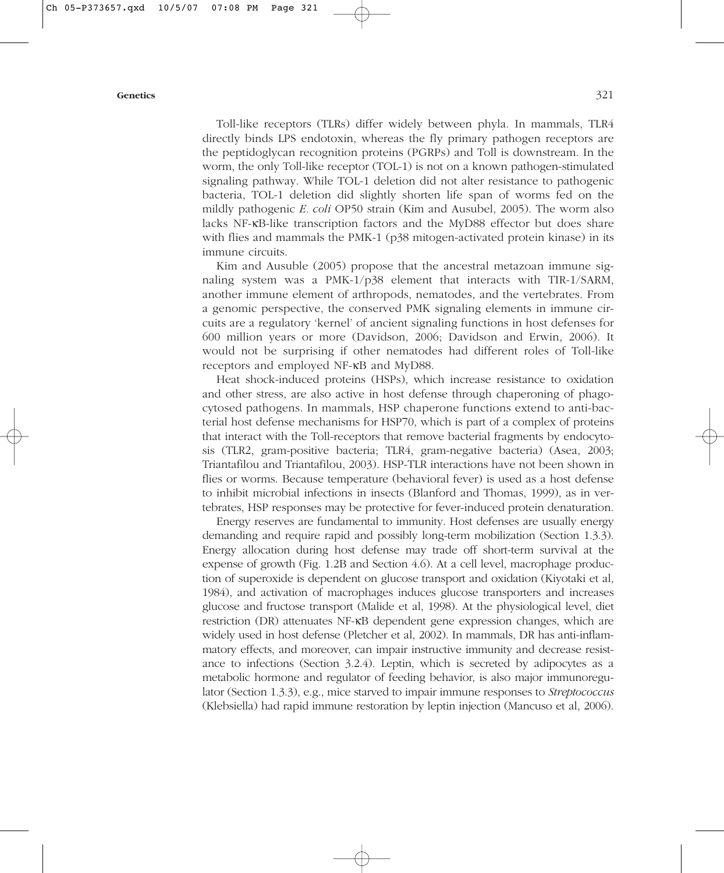Toll-like receptors (TLRs) differ widely between phyla. In mammals, TLR4 directly binds LPS endotoxin, whereas the fly primary pathogen receptors are the peptidoglycan recognition proteins (PGRPs) and Toll is downstream. In the worm, the only Toll-like receptor (TOL-1) is not on a known pathogen-stimulated signaling pathway. While TOL-1 deletion did not alter resistance to pathogenic bacteria, TOL-1 deletion did slightly shorten life span of worms fed on the mildly pathogenic *E. coli* OP50 strain (Kim and Ausubel, 2005). The worm also lacks NF-κB-like transcription factors and the MyD88 effector but does share with flies and mammals the PMK-1 (p38 mitogen-activated protein kinase) in its immune circuits.

Kim and Ausuble (2005) propose that the ancestral metazoan immune signaling system was a PMK-1/p38 element that interacts with TIR-1/SARM, another immune element of arthropods, nematodes, and the vertebrates. From a genomic perspective, the conserved PMK signaling elements in immune circuits are a regulatory 'kernel' of ancient signaling functions in host defenses for 600 million years or more (Davidson, 2006; Davidson and Erwin, 2006). It would not be surprising if other nematodes had different roles of Toll-like receptors and employed NF-κB and MyD88.

Heat shock-induced proteins (HSPs), which increase resistance to oxidation and other stress, are also active in host defense through chaperoning of phagocytosed pathogens. In mammals, HSP chaperone functions extend to anti-bacterial host defense mechanisms for HSP70, which is part of a complex of proteins that interact with the Toll-receptors that remove bacterial fragments by endocytosis (TLR2, gram-positive bacteria; TLR4, gram-negative bacteria) (Asea, 2003; Triantafilou and Triantafilou, 2003). HSP-TLR interactions have not been shown in flies or worms. Because temperature (behavioral fever) is used as a host defense to inhibit microbial infections in insects (Blanford and Thomas, 1999), as in vertebrates, HSP responses may be protective for fever-induced protein denaturation.

Energy reserves are fundamental to immunity. Host defenses are usually energy demanding and require rapid and possibly long-term mobilization (Section 1.3.3). Energy allocation during host defense may trade off short-term survival at the expense of growth (Fig. 1.2B and Section 4.6). At a cell level, macrophage production of superoxide is dependent on glucose transport and oxidation (Kiyotaki et al, 1984), and activation of macrophages induces glucose transporters and increases glucose and fructose transport (Malide et al, 1998). At the physiological level, diet restriction (DR) attenuates NF-κB dependent gene expression changes, which are widely used in host defense (Pletcher et al, 2002). In mammals, DR has anti-inflammatory effects, and moreover, can impair instructive immunity and decrease resistance to infections (Section 3.2.4). Leptin, which is secreted by adipocytes as a metabolic hormone and regulator of feeding behavior, is also major immunoregulator (Section 1.3.3), e.g., mice starved to impair immune responses to *Streptococcus* (Klebsiella) had rapid immune restoration by leptin injection (Mancuso et al, 2006).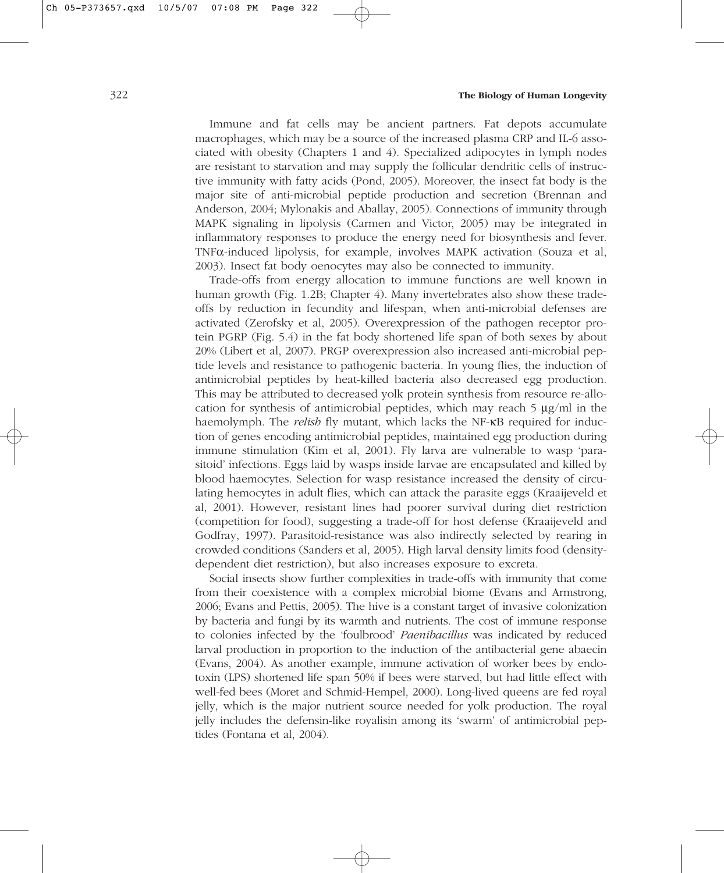Immune and fat cells may be ancient partners. Fat depots accumulate macrophages, which may be a source of the increased plasma CRP and IL-6 associated with obesity (Chapters 1 and 4). Specialized adipocytes in lymph nodes are resistant to starvation and may supply the follicular dendritic cells of instructive immunity with fatty acids (Pond, 2005). Moreover, the insect fat body is the major site of anti-microbial peptide production and secretion (Brennan and Anderson, 2004; Mylonakis and Aballay, 2005). Connections of immunity through MAPK signaling in lipolysis (Carmen and Victor, 2005) may be integrated in inflammatory responses to produce the energy need for biosynthesis and fever. TNFα-induced lipolysis, for example, involves MAPK activation (Souza et al, 2003). Insect fat body oenocytes may also be connected to immunity.

Trade-offs from energy allocation to immune functions are well known in human growth (Fig. 1.2B; Chapter 4). Many invertebrates also show these tradeoffs by reduction in fecundity and lifespan, when anti-microbial defenses are activated (Zerofsky et al, 2005). Overexpression of the pathogen receptor protein PGRP (Fig. 5.4) in the fat body shortened life span of both sexes by about 20% (Libert et al, 2007). PRGP overexpression also increased anti-microbial peptide levels and resistance to pathogenic bacteria. In young flies, the induction of antimicrobial peptides by heat-killed bacteria also decreased egg production. This may be attributed to decreased yolk protein synthesis from resource re-allocation for synthesis of antimicrobial peptides, which may reach  $5 \mu g/ml$  in the haemolymph. The *relish* fly mutant, which lacks the NF-κB required for induction of genes encoding antimicrobial peptides, maintained egg production during immune stimulation (Kim et al, 2001). Fly larva are vulnerable to wasp 'parasitoid' infections. Eggs laid by wasps inside larvae are encapsulated and killed by blood haemocytes. Selection for wasp resistance increased the density of circulating hemocytes in adult flies, which can attack the parasite eggs (Kraaijeveld et al, 2001). However, resistant lines had poorer survival during diet restriction (competition for food), suggesting a trade-off for host defense (Kraaijeveld and Godfray, 1997). Parasitoid-resistance was also indirectly selected by rearing in crowded conditions (Sanders et al, 2005). High larval density limits food (densitydependent diet restriction), but also increases exposure to excreta.

Social insects show further complexities in trade-offs with immunity that come from their coexistence with a complex microbial biome (Evans and Armstrong, 2006; Evans and Pettis, 2005). The hive is a constant target of invasive colonization by bacteria and fungi by its warmth and nutrients. The cost of immune response to colonies infected by the 'foulbrood' *Paenibacillus* was indicated by reduced larval production in proportion to the induction of the antibacterial gene abaecin (Evans, 2004). As another example, immune activation of worker bees by endotoxin (LPS) shortened life span 50% if bees were starved, but had little effect with well-fed bees (Moret and Schmid-Hempel, 2000). Long-lived queens are fed royal jelly, which is the major nutrient source needed for yolk production. The royal jelly includes the defensin-like royalisin among its 'swarm' of antimicrobial peptides (Fontana et al, 2004).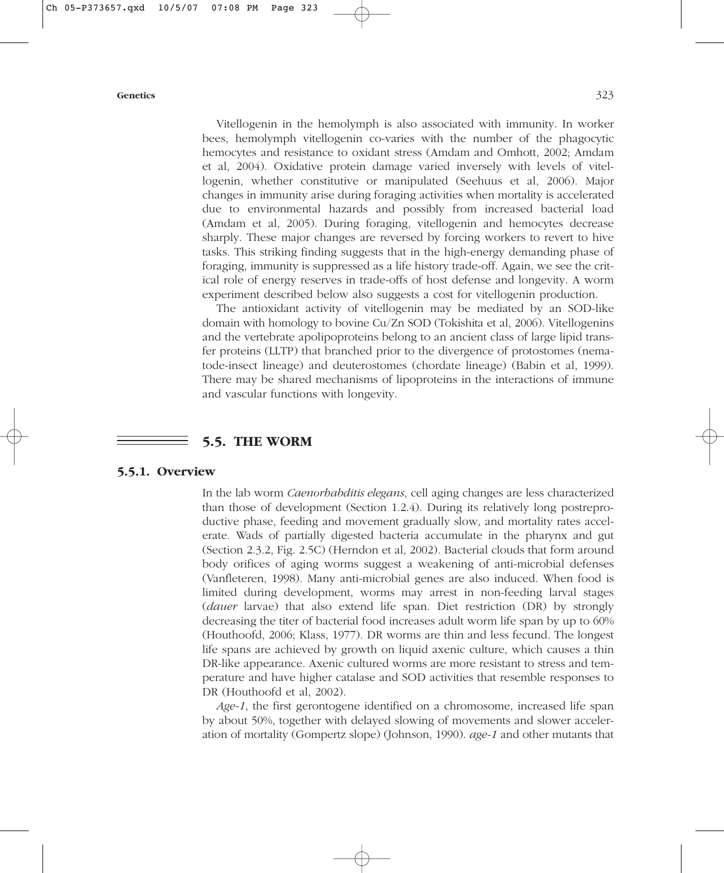Vitellogenin in the hemolymph is also associated with immunity. In worker bees, hemolymph vitellogenin co-varies with the number of the phagocytic hemocytes and resistance to oxidant stress (Amdam and Omhott, 2002; Amdam et al, 2004). Oxidative protein damage varied inversely with levels of vitellogenin, whether constitutive or manipulated (Seehuus et al, 2006). Major changes in immunity arise during foraging activities when mortality is accelerated due to environmental hazards and possibly from increased bacterial load (Amdam et al, 2005). During foraging, vitellogenin and hemocytes decrease sharply. These major changes are reversed by forcing workers to revert to hive tasks. This striking finding suggests that in the high-energy demanding phase of foraging, immunity is suppressed as a life history trade-off. Again, we see the critical role of energy reserves in trade-offs of host defense and longevity. A worm experiment described below also suggests a cost for vitellogenin production.

The antioxidant activity of vitellogenin may be mediated by an SOD-like domain with homology to bovine Cu/Zn SOD (Tokishita et al, 2006). Vitellogenins and the vertebrate apolipoproteins belong to an ancient class of large lipid transfer proteins (LLTP) that branched prior to the divergence of protostomes (nematode-insect lineage) and deuterostomes (chordate lineage) (Babin et al, 1999). There may be shared mechanisms of lipoproteins in the interactions of immune and vascular functions with longevity.

## **5.5. THE WORM**

#### **5.5.1. Overview**

In the lab worm *Caenorhabditis elegans*, cell aging changes are less characterized than those of development (Section 1.2.4). During its relatively long postreproductive phase, feeding and movement gradually slow, and mortality rates accelerate. Wads of partially digested bacteria accumulate in the pharynx and gut (Section 2.3.2, Fig. 2.5C) (Herndon et al, 2002). Bacterial clouds that form around body orifices of aging worms suggest a weakening of anti-microbial defenses (Vanfleteren, 1998). Many anti-microbial genes are also induced. When food is limited during development, worms may arrest in non-feeding larval stages (*dauer* larvae) that also extend life span. Diet restriction (DR) by strongly decreasing the titer of bacterial food increases adult worm life span by up to 60% (Houthoofd, 2006; Klass, 1977). DR worms are thin and less fecund. The longest life spans are achieved by growth on liquid axenic culture, which causes a thin DR-like appearance. Axenic cultured worms are more resistant to stress and temperature and have higher catalase and SOD activities that resemble responses to DR (Houthoofd et al, 2002).

*Age-1*, the first gerontogene identified on a chromosome, increased life span by about 50%, together with delayed slowing of movements and slower acceleration of mortality (Gompertz slope) (Johnson, 1990). *age-1* and other mutants that